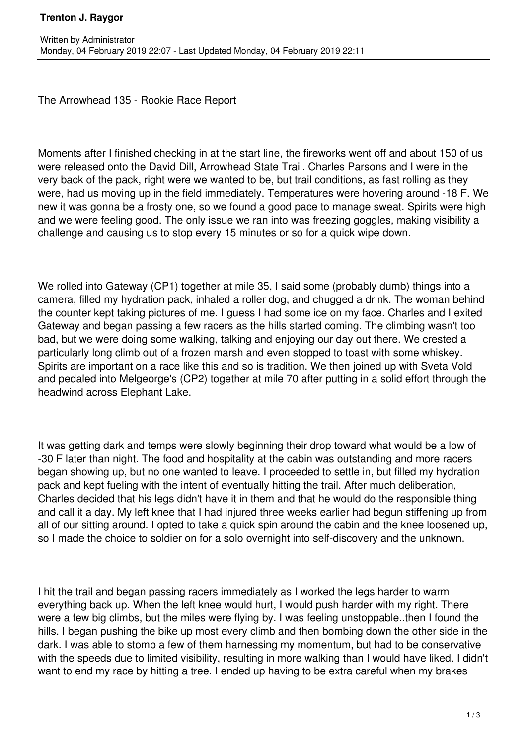The Arrowhead 135 - Rookie Race Report

Moments after I finished checking in at the start line, the fireworks went off and about 150 of us were released onto the David Dill, Arrowhead State Trail. Charles Parsons and I were in the very back of the pack, right were we wanted to be, but trail conditions, as fast rolling as they were, had us moving up in the field immediately. Temperatures were hovering around -18 F. We new it was gonna be a frosty one, so we found a good pace to manage sweat. Spirits were high and we were feeling good. The only issue we ran into was freezing goggles, making visibility a challenge and causing us to stop every 15 minutes or so for a quick wipe down.

We rolled into Gateway (CP1) together at mile 35, I said some (probably dumb) things into a camera, filled my hydration pack, inhaled a roller dog, and chugged a drink. The woman behind the counter kept taking pictures of me. I guess I had some ice on my face. Charles and I exited Gateway and began passing a few racers as the hills started coming. The climbing wasn't too bad, but we were doing some walking, talking and enjoying our day out there. We crested a particularly long climb out of a frozen marsh and even stopped to toast with some whiskey. Spirits are important on a race like this and so is tradition. We then joined up with Sveta Vold and pedaled into Melgeorge's (CP2) together at mile 70 after putting in a solid effort through the headwind across Elephant Lake.

It was getting dark and temps were slowly beginning their drop toward what would be a low of -30 F later than night. The food and hospitality at the cabin was outstanding and more racers began showing up, but no one wanted to leave. I proceeded to settle in, but filled my hydration pack and kept fueling with the intent of eventually hitting the trail. After much deliberation, Charles decided that his legs didn't have it in them and that he would do the responsible thing and call it a day. My left knee that I had injured three weeks earlier had begun stiffening up from all of our sitting around. I opted to take a quick spin around the cabin and the knee loosened up, so I made the choice to soldier on for a solo overnight into self-discovery and the unknown.

I hit the trail and began passing racers immediately as I worked the legs harder to warm everything back up. When the left knee would hurt, I would push harder with my right. There were a few big climbs, but the miles were flying by. I was feeling unstoppable..then I found the hills. I began pushing the bike up most every climb and then bombing down the other side in the dark. I was able to stomp a few of them harnessing my momentum, but had to be conservative with the speeds due to limited visibility, resulting in more walking than I would have liked. I didn't want to end my race by hitting a tree. I ended up having to be extra careful when my brakes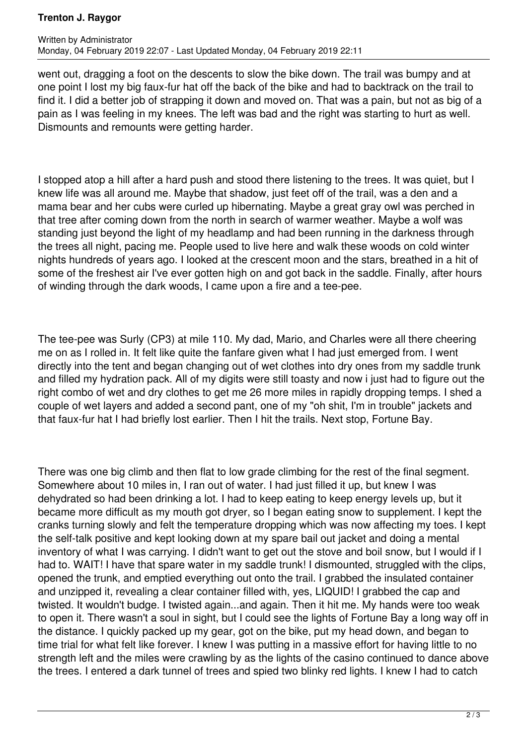## **Trenton J. Raygor**

went out, dragging a foot on the descents to slow the bike down. The trail was bumpy and at one point I lost my big faux-fur hat off the back of the bike and had to backtrack on the trail to find it. I did a better job of strapping it down and moved on. That was a pain, but not as big of a pain as I was feeling in my knees. The left was bad and the right was starting to hurt as well. Dismounts and remounts were getting harder.

I stopped atop a hill after a hard push and stood there listening to the trees. It was quiet, but I knew life was all around me. Maybe that shadow, just feet off of the trail, was a den and a mama bear and her cubs were curled up hibernating. Maybe a great gray owl was perched in that tree after coming down from the north in search of warmer weather. Maybe a wolf was standing just beyond the light of my headlamp and had been running in the darkness through the trees all night, pacing me. People used to live here and walk these woods on cold winter nights hundreds of years ago. I looked at the crescent moon and the stars, breathed in a hit of some of the freshest air I've ever gotten high on and got back in the saddle. Finally, after hours of winding through the dark woods, I came upon a fire and a tee-pee.

The tee-pee was Surly (CP3) at mile 110. My dad, Mario, and Charles were all there cheering me on as I rolled in. It felt like quite the fanfare given what I had just emerged from. I went directly into the tent and began changing out of wet clothes into dry ones from my saddle trunk and filled my hydration pack. All of my digits were still toasty and now i just had to figure out the right combo of wet and dry clothes to get me 26 more miles in rapidly dropping temps. I shed a couple of wet layers and added a second pant, one of my "oh shit, I'm in trouble" jackets and that faux-fur hat I had briefly lost earlier. Then I hit the trails. Next stop, Fortune Bay.

There was one big climb and then flat to low grade climbing for the rest of the final segment. Somewhere about 10 miles in, I ran out of water. I had just filled it up, but knew I was dehydrated so had been drinking a lot. I had to keep eating to keep energy levels up, but it became more difficult as my mouth got dryer, so I began eating snow to supplement. I kept the cranks turning slowly and felt the temperature dropping which was now affecting my toes. I kept the self-talk positive and kept looking down at my spare bail out jacket and doing a mental inventory of what I was carrying. I didn't want to get out the stove and boil snow, but I would if I had to. WAIT! I have that spare water in my saddle trunk! I dismounted, struggled with the clips, opened the trunk, and emptied everything out onto the trail. I grabbed the insulated container and unzipped it, revealing a clear container filled with, yes, LIQUID! I grabbed the cap and twisted. It wouldn't budge. I twisted again...and again. Then it hit me. My hands were too weak to open it. There wasn't a soul in sight, but I could see the lights of Fortune Bay a long way off in the distance. I quickly packed up my gear, got on the bike, put my head down, and began to time trial for what felt like forever. I knew I was putting in a massive effort for having little to no strength left and the miles were crawling by as the lights of the casino continued to dance above the trees. I entered a dark tunnel of trees and spied two blinky red lights. I knew I had to catch